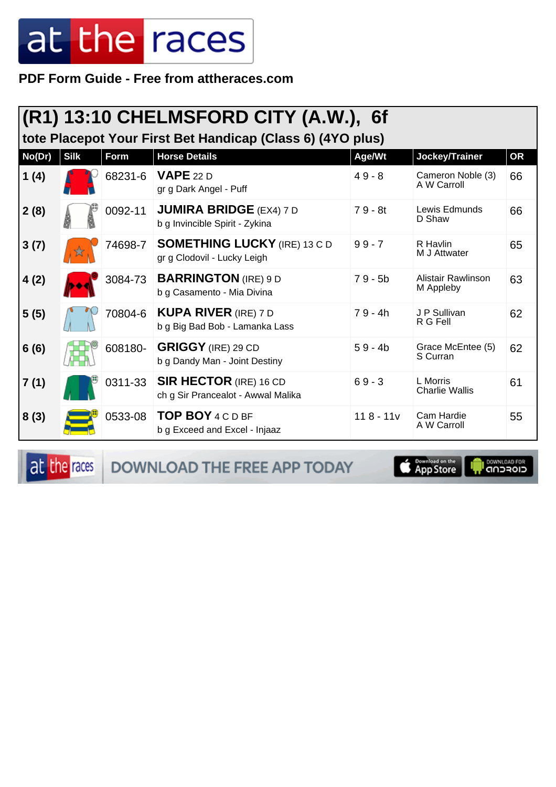PDF Form Guide - Free from attheraces.com

| $ (R1)$ 13:10 CHELMSFORD CITY (A.W.), 6f<br>tote Placepot Your First Bet Handicap (Class 6) (4YO plus) |             |             |                                                                     |             |                                   |           |  |  |
|--------------------------------------------------------------------------------------------------------|-------------|-------------|---------------------------------------------------------------------|-------------|-----------------------------------|-----------|--|--|
| No(Dr)                                                                                                 | <b>Silk</b> | <b>Form</b> | <b>Horse Details</b>                                                | Age/Wt      | Jockey/Trainer                    | <b>OR</b> |  |  |
| 1(4)                                                                                                   |             | 68231-6     | <b>VAPE</b> 22 D<br>gr g Dark Angel - Puff                          | $49 - 8$    | Cameron Noble (3)<br>A W Carroll  | 66        |  |  |
| 2(8)                                                                                                   |             | 0092-11     | <b>JUMIRA BRIDGE (EX4) 7 D</b><br>b g Invincible Spirit - Zykina    | $79 - 8t$   | Lewis Edmunds<br>D Shaw           | 66        |  |  |
| 3(7)                                                                                                   |             | 74698-7     | <b>SOMETHING LUCKY (IRE) 13 C D</b><br>gr g Clodovil - Lucky Leigh  | $99 - 7$    | R Havlin<br>M J Attwater          | 65        |  |  |
| 4(2)                                                                                                   |             | 3084-73     | <b>BARRINGTON</b> (IRE) 9 D<br>b g Casamento - Mia Divina           | $79 - 5b$   | Alistair Rawlinson<br>M Appleby   | 63        |  |  |
| 5(5)                                                                                                   |             | 70804-6     | <b>KUPA RIVER</b> (IRE) 7 D<br>b g Big Bad Bob - Lamanka Lass       | $79 - 4h$   | J P Sullivan<br>R G Fell          | 62        |  |  |
| 6(6)                                                                                                   |             | 608180-     | <b>GRIGGY</b> (IRE) 29 CD<br>b g Dandy Man - Joint Destiny          | $59 - 4b$   | Grace McEntee (5)<br>S Curran     | 62        |  |  |
| 7(1)                                                                                                   |             | 0311-33     | <b>SIR HECTOR (IRE) 16 CD</b><br>ch g Sir Prancealot - Awwal Malika | $69 - 3$    | L Morris<br><b>Charlie Wallis</b> | 61        |  |  |
| 8(3)                                                                                                   |             | 0533-08     | <b>TOP BOY 4 C D BF</b><br>b g Exceed and Excel - Injaaz            | $118 - 11v$ | Cam Hardie<br>A W Carroll         | 55        |  |  |

at the races

DOWNLOAD THE FREE APP TODAY



**I** DOWNLOAD FOR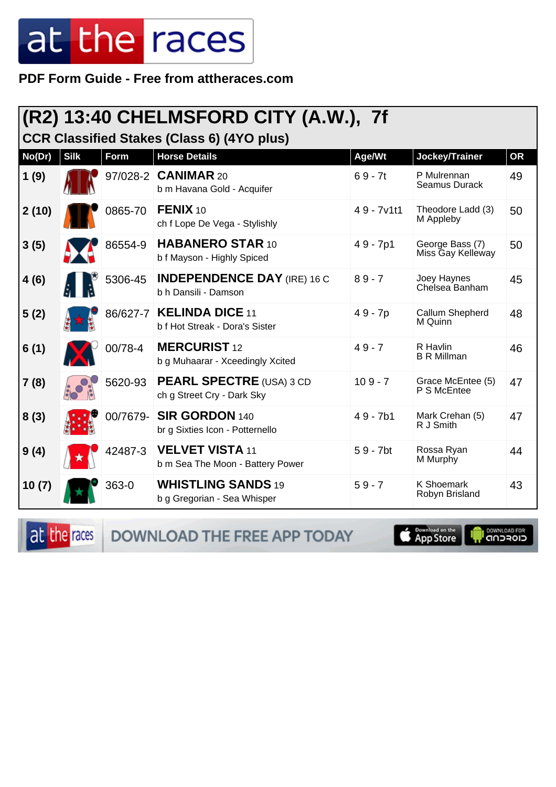**PDF Form Guide - Free from attheraces.com**

#### **(R2) 13:40 CHELMSFORD CITY (A.W.), 7f**

**CCR Classified Stakes (Class 6) (4YO plus)**

| No(Dr) | <b>Silk</b> | <b>Form</b> | <b>Horse Details</b>                                          | Age/Wt       | Jockey/Trainer                       | <b>OR</b> |
|--------|-------------|-------------|---------------------------------------------------------------|--------------|--------------------------------------|-----------|
| 1(9)   |             |             | 97/028-2 CANIMAR 20<br>b m Havana Gold - Acquifer             | $69 - 7t$    | P Mulrennan<br>Seamus Durack         | 49        |
| 2(10)  |             | 0865-70     | FENIX 10<br>ch f Lope De Vega - Stylishly                     | $49 - 7v1t1$ | Theodore Ladd (3)<br>M Appleby       | 50        |
| 3(5)   |             | 86554-9     | <b>HABANERO STAR 10</b><br>b f Mayson - Highly Spiced         | $49 - 7p1$   | George Bass (7)<br>Miss Gay Kelleway | 50        |
| 4(6)   |             | 5306-45     | <b>INDEPENDENCE DAY (IRE) 16 C</b><br>b h Dansili - Damson    | $89 - 7$     | Joey Haynes<br>Chelsea Banham        | 45        |
| 5(2)   |             |             | 86/627-7   KELINDA DICE 11<br>b f Hot Streak - Dora's Sister  | 49 - 7p      | Callum Shepherd<br>M Quinn           | 48        |
| 6(1)   |             | 00/78-4     | <b>MERCURIST 12</b><br>b g Muhaarar - Xceedingly Xcited       | $49 - 7$     | R Havlin<br><b>B R Millman</b>       | 46        |
| 7(8)   |             | 5620-93     | <b>PEARL SPECTRE (USA) 3 CD</b><br>ch g Street Cry - Dark Sky | $109 - 7$    | Grace McEntee (5)<br>P S McEntee     | 47        |
| 8(3)   |             | 00/7679-    | SIR GORDON 140<br>br g Sixties Icon - Potternello             | $49 - 7b1$   | Mark Crehan (5)<br>R J Smith         | 47        |
| 9(4)   |             | 42487-3     | <b>VELVET VISTA 11</b><br>b m Sea The Moon - Battery Power    | $59 - 7$ bt  | Rossa Ryan<br>M Murphy               | 44        |
| 10(7)  |             | 363-0       | <b>WHISTLING SANDS 19</b><br>b g Gregorian - Sea Whisper      | $59 - 7$     | K Shoemark<br>Robyn Brisland         | 43        |

at the races DOWNLOAD THE FREE APP TODAY

App Store

**DOWNLOAD FOR**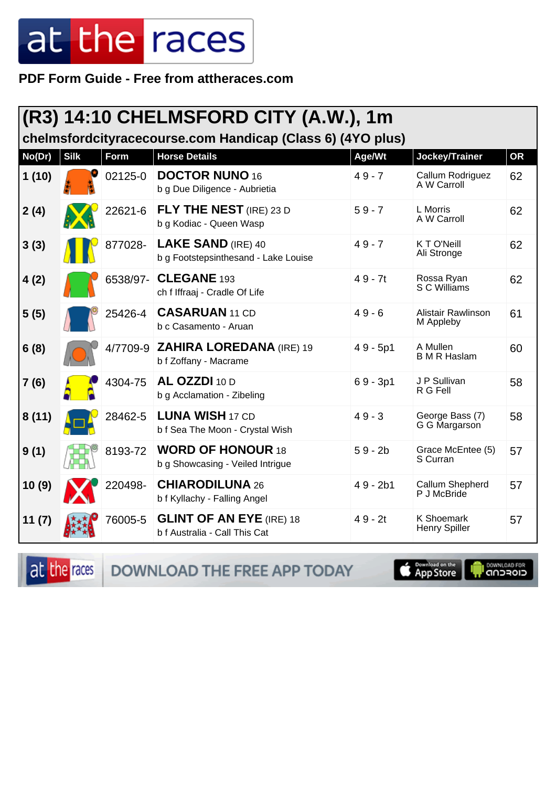PDF Form Guide - Free from attheraces.com

|                                                            | (R3) 14:10 CHELMSFORD CITY (A.W.), 1m |          |                                                                   |            |                                           |           |  |  |  |
|------------------------------------------------------------|---------------------------------------|----------|-------------------------------------------------------------------|------------|-------------------------------------------|-----------|--|--|--|
| chelmsfordcityracecourse.com Handicap (Class 6) (4YO plus) |                                       |          |                                                                   |            |                                           |           |  |  |  |
| No(Dr)                                                     | <b>Silk</b>                           | Form     | <b>Horse Details</b>                                              | Age/Wt     | Jockey/Trainer                            | <b>OR</b> |  |  |  |
| 1(10)                                                      |                                       | 02125-0  | <b>DOCTOR NUNO 16</b><br>b g Due Diligence - Aubrietia            | $49 - 7$   | Callum Rodriguez<br>A W Carroll           | 62        |  |  |  |
| 2(4)                                                       |                                       | 22621-6  | <b>FLY THE NEST</b> (IRE) 23 D<br>b g Kodiac - Queen Wasp         | $59 - 7$   | L Morris<br>A W Carroll                   | 62        |  |  |  |
| 3(3)                                                       |                                       | 877028-  | <b>LAKE SAND (IRE) 40</b><br>b g Footstepsinthesand - Lake Louise | $49 - 7$   | K T O'Neill<br>Ali Stronge                | 62        |  |  |  |
| 4(2)                                                       |                                       | 6538/97- | CLEGANE 193<br>ch f Iffraaj - Cradle Of Life                      | $49 - 7t$  | Rossa Ryan<br>S C Williams                | 62        |  |  |  |
| 5(5)                                                       |                                       | 25426-4  | <b>CASARUAN 11 CD</b><br>b c Casamento - Aruan                    | $49 - 6$   | <b>Alistair Rawlinson</b><br>M Appleby    | 61        |  |  |  |
| 6(8)                                                       |                                       | 4/7709-9 | <b>ZAHIRA LOREDANA (IRE) 19</b><br>b f Zoffany - Macrame          | $49 - 5p1$ | A Mullen<br><b>B</b> M R Haslam           | 60        |  |  |  |
| 7(6)                                                       |                                       | 4304-75  | AL OZZDI 10 D<br>b g Acclamation - Zibeling                       | $69 - 3p1$ | J P Sullivan<br>R G Fell                  | 58        |  |  |  |
| 8(11)                                                      |                                       | 28462-5  | <b>LUNA WISH 17 CD</b><br>b f Sea The Moon - Crystal Wish         | $49 - 3$   | George Bass (7)<br>G G Margarson          | 58        |  |  |  |
| 9(1)                                                       |                                       | 8193-72  | <b>WORD OF HONOUR 18</b><br>b g Showcasing - Veiled Intrigue      | $59 - 2b$  | Grace McEntee (5)<br>S Curran             | 57        |  |  |  |
| 10(9)                                                      |                                       | 220498-  | <b>CHIARODILUNA 26</b><br>b f Kyllachy - Falling Angel            | $49 - 2b1$ | Callum Shepherd<br>P J McBride            | 57        |  |  |  |
| 11(7)                                                      |                                       | 76005-5  | <b>GLINT OF AN EYE (IRE) 18</b><br>b f Australia - Call This Cat  | $49 - 2t$  | <b>K Shoemark</b><br><b>Henry Spiller</b> | 57        |  |  |  |

at the races

DOWNLOAD THE FREE APP TODAY

**S** Download on the

**DOWNLOAD FOR**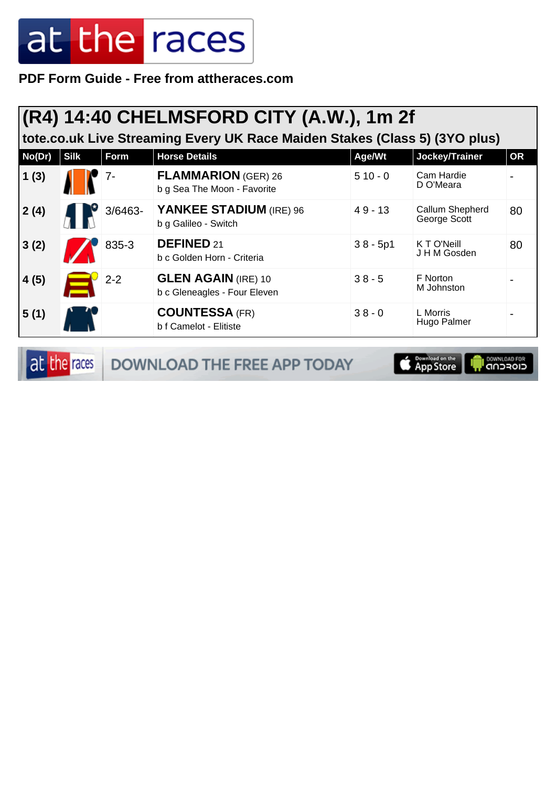**PDF Form Guide - Free from attheraces.com**

| (R4) 14:40 CHELMSFORD CITY (A.W.), 1m 2f<br>tote.co.uk Live Streaming Every UK Race Maiden Stakes (Class 5) (3YO plus) |             |         |                                                            |            |                                 |           |  |
|------------------------------------------------------------------------------------------------------------------------|-------------|---------|------------------------------------------------------------|------------|---------------------------------|-----------|--|
| No(Dr)                                                                                                                 | <b>Silk</b> | Form    | <b>Horse Details</b>                                       | Age/Wt     | Jockey/Trainer                  | <b>OR</b> |  |
| 1(3)                                                                                                                   |             | 7-      | <b>FLAMMARION (GER) 26</b><br>b g Sea The Moon - Favorite  | $510 - 0$  | Cam Hardie<br>D O'Meara         |           |  |
| 2(4)                                                                                                                   |             | 3/6463- | YANKEE STADIUM (IRE) 96<br>b g Galileo - Switch            | $49 - 13$  | Callum Shepherd<br>George Scott | 80        |  |
| 3(2)                                                                                                                   |             | 835-3   | <b>DEFINED 21</b><br>b c Golden Horn - Criteria            | $38 - 5p1$ | KTO'Neill<br>J H M Gosden       | 80        |  |
| 4(5)                                                                                                                   |             | $2 - 2$ | <b>GLEN AGAIN (IRE) 10</b><br>b c Gleneagles - Four Eleven | $38 - 5$   | F Norton<br>M Johnston          |           |  |
| 5(1)                                                                                                                   |             |         | <b>COUNTESSA (FR)</b><br>b f Camelot - Elitiste            | $38 - 0$   | L Morris<br>Hugo Palmer         |           |  |

at the races DOWNLOAD THE FREE APP TODAY

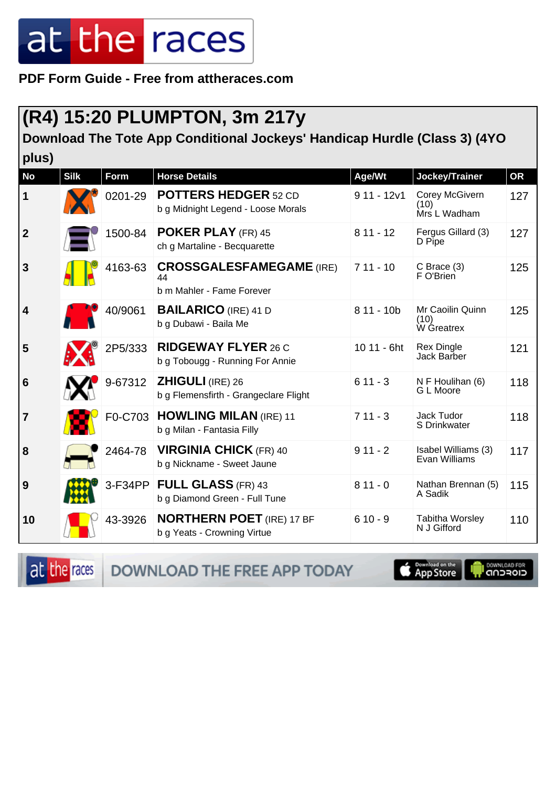**PDF Form Guide - Free from attheraces.com**

#### **(R4) 15:20 PLUMPTON, 3m 217y**

**Download The Tote App Conditional Jockeys' Handicap Hurdle (Class 3) (4YO plus)**

| piuvi                   |             |             |                                                                    |              |                                        |           |
|-------------------------|-------------|-------------|--------------------------------------------------------------------|--------------|----------------------------------------|-----------|
| <b>No</b>               | <b>Silk</b> | <b>Form</b> | <b>Horse Details</b>                                               | Age/Wt       | Jockey/Trainer                         | <b>OR</b> |
| $\mathbf 1$             |             | 0201-29     | <b>POTTERS HEDGER 52 CD</b><br>b g Midnight Legend - Loose Morals  | $911 - 12v1$ | Corey McGivern<br>(10)<br>Mrs L Wadham | 127       |
| $\overline{2}$          |             | 1500-84     | <b>POKER PLAY (FR) 45</b><br>ch g Martaline - Becquarette          | $811 - 12$   | Fergus Gillard (3)<br>D Pipe           | 127       |
| $\overline{3}$          |             | 4163-63     | <b>CROSSGALESFAMEGAME (IRE)</b><br>44<br>b m Mahler - Fame Forever | $711 - 10$   | $C$ Brace $(3)$<br>F O'Brien           | 125       |
| $\overline{\mathbf{4}}$ |             | 40/9061     | <b>BAILARICO</b> (IRE) 41 D<br>b g Dubawi - Baila Me               | $811 - 10b$  | Mr Caoilin Quinn<br>(10)<br>W Greatrex | 125       |
| 5                       |             | 2P5/333     | <b>RIDGEWAY FLYER 26 C</b><br>b g Tobougg - Running For Annie      | 10 11 - 6ht  | <b>Rex Dingle</b><br>Jack Barber       | 121       |
| 6                       |             | 9-67312     | <b>ZHIGULI (IRE) 26</b><br>b g Flemensfirth - Grangeclare Flight   | $611 - 3$    | N F Houlihan (6)<br>G L Moore          | 118       |
| $\overline{7}$          |             | F0-C703     | <b>HOWLING MILAN (IRE) 11</b><br>b g Milan - Fantasia Filly        | $711 - 3$    | Jack Tudor<br>S Drinkwater             | 118       |
| 8                       |             | 2464-78     | <b>VIRGINIA CHICK (FR) 40</b><br>b g Nickname - Sweet Jaune        | $911 - 2$    | Isabel Williams (3)<br>Evan Williams   | 117       |
| 9                       |             | 3-F34PP     | <b>FULL GLASS (FR) 43</b><br>b g Diamond Green - Full Tune         | $811 - 0$    | Nathan Brennan (5)<br>A Sadik          | 115       |
| 10                      |             | 43-3926     | <b>NORTHERN POET (IRE) 17 BF</b><br>b g Yeats - Crowning Virtue    | $610 - 9$    | <b>Tabitha Worsley</b><br>N J Gifford  | 110       |

at the races

**DOWNLOAD THE FREE APP TODAY** 

**S** Download on the

**I DOWNLOAD FOR**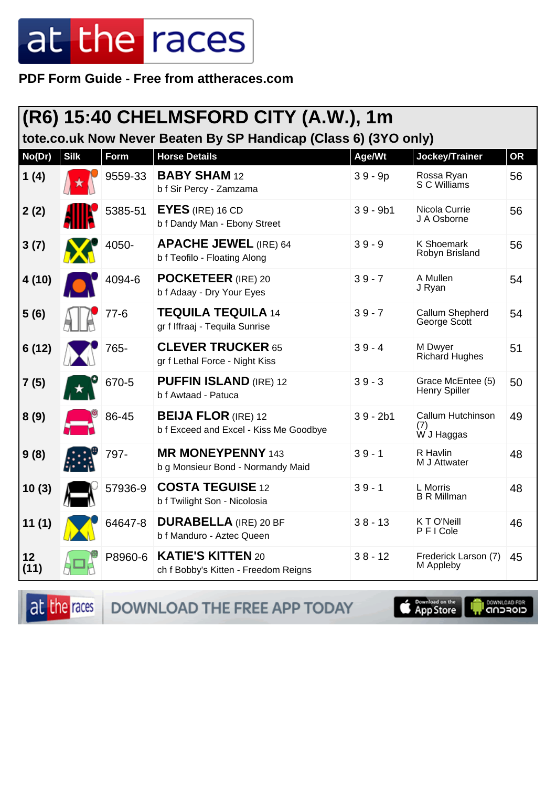**PDF Form Guide - Free from attheraces.com**

|            |             |         | (R6) 15:40 CHELMSFORD CITY (A.W.), 1m<br>tote.co.uk Now Never Beaten By SP Handicap (Class 6) (3YO only) |            |                                           |           |
|------------|-------------|---------|----------------------------------------------------------------------------------------------------------|------------|-------------------------------------------|-----------|
| No(Dr)     | <b>Silk</b> | Form    | <b>Horse Details</b>                                                                                     | Age/Wt     | Jockey/Trainer                            | <b>OR</b> |
| 1(4)       |             | 9559-33 | <b>BABY SHAM 12</b><br>b f Sir Percy - Zamzama                                                           | $39 - 9p$  | Rossa Ryan<br>S C Williams                | 56        |
| 2(2)       |             | 5385-51 | $EYES$ (IRE) 16 CD<br>b f Dandy Man - Ebony Street                                                       | $39 - 9b1$ | Nicola Currie<br>J A Osborne              | 56        |
| 3(7)       |             | 4050-   | <b>APACHE JEWEL (IRE) 64</b><br>b f Teofilo - Floating Along                                             | $39 - 9$   | <b>K Shoemark</b><br>Robyn Brisland       | 56        |
| 4 (10)     |             | 4094-6  | <b>POCKETEER</b> (IRE) 20<br>b f Adaay - Dry Your Eyes                                                   | $39 - 7$   | A Mullen<br>J Ryan                        | 54        |
| 5(6)       |             | 77-6    | <b>TEQUILA TEQUILA 14</b><br>gr f Iffraaj - Tequila Sunrise                                              | $39 - 7$   | Callum Shepherd<br>George Scott           | 54        |
| 6(12)      |             | 765-    | <b>CLEVER TRUCKER 65</b><br>gr f Lethal Force - Night Kiss                                               | $39 - 4$   | M Dwyer<br>Richard Hughes                 | 51        |
| 7(5)       |             | 670-5   | <b>PUFFIN ISLAND (IRE) 12</b><br>b f Awtaad - Patuca                                                     | $39 - 3$   | Grace McEntee (5)<br><b>Henry Spiller</b> | 50        |
| 8(9)       |             | 86-45   | <b>BEIJA FLOR</b> (IRE) 12<br>b f Exceed and Excel - Kiss Me Goodbye                                     | $39 - 2b1$ | Callum Hutchinson<br>(7)<br>W J Haggas    | 49        |
| 9(8)       |             | 797-    | <b>MR MONEYPENNY 143</b><br>b g Monsieur Bond - Normandy Maid                                            | $39 - 1$   | R Havlin<br>M J Attwater                  | 48        |
| 10(3)      |             | 57936-9 | <b>COSTA TEGUISE 12</b><br>b f Twilight Son - Nicolosia                                                  | $39 - 1$   | L Morris<br><b>B R Millman</b>            | 48        |
| 11(1)      |             | 64647-8 | <b>DURABELLA</b> (IRE) 20 BF<br>b f Manduro - Aztec Queen                                                | $38 - 13$  | K T O'Neill<br>PFICole                    | 46        |
| 12<br>(11) |             | P8960-6 | <b>KATIE'S KITTEN 20</b><br>ch f Bobby's Kitten - Freedom Reigns                                         | $38 - 12$  | Frederick Larson (7)<br>M Appleby         | 45        |

at the races DOWNLOAD THE FREE APP TODAY



**OOWNLOAD FOR**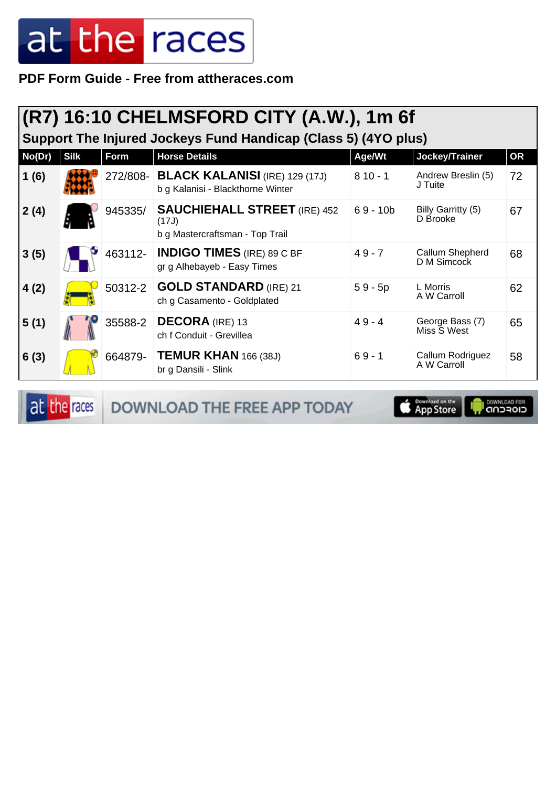**PDF Form Guide - Free from attheraces.com**

|        | (R7) 16:10 CHELMSFORD CITY (A.W.), 1m 6f<br>Support The Injured Jockeys Fund Handicap (Class 5) (4YO plus) |         |                                                                                 |            |                                 |           |  |  |
|--------|------------------------------------------------------------------------------------------------------------|---------|---------------------------------------------------------------------------------|------------|---------------------------------|-----------|--|--|
| No(Dr) | <b>Silk</b>                                                                                                | Form    | <b>Horse Details</b>                                                            | Age/Wt     | Jockey/Trainer                  | <b>OR</b> |  |  |
| 1(6)   |                                                                                                            |         | 272/808- BLACK KALANISI (IRE) 129 (17J)<br>b g Kalanisi - Blackthorne Winter    | $810 - 1$  | Andrew Breslin (5)<br>J Tuite   | 72        |  |  |
| 2(4)   |                                                                                                            | 945335/ | <b>SAUCHIEHALL STREET</b> (IRE) 452<br>(17J)<br>b g Mastercraftsman - Top Trail | $69 - 10b$ | Billy Garritty (5)<br>D Brooke  | 67        |  |  |
| 3(5)   |                                                                                                            | 463112- | <b>INDIGO TIMES</b> (IRE) 89 C BF<br>gr g Alhebayeb - Easy Times                | $49 - 7$   | Callum Shepherd<br>D M Simcock  | 68        |  |  |
| 4(2)   |                                                                                                            |         | 50312-2 <b>GOLD STANDARD</b> (IRE) 21<br>ch g Casamento - Goldplated            | $59 - 5p$  | L Morris<br>A W Carroll         | 62        |  |  |
| 5(1)   |                                                                                                            | 35588-2 | <b>DECORA</b> (IRE) 13<br>ch f Conduit - Grevillea                              | $49 - 4$   | George Bass (7)<br>Miss S West  | 65        |  |  |
| 6(3)   |                                                                                                            | 664879- | <b>TEMUR KHAN</b> 166 (38J)<br>br g Dansili - Slink                             | $69 - 1$   | Callum Rodriguez<br>A W Carroll | 58        |  |  |

at the races DOWNLOAD THE FREE APP TODAY

**E Download** on the **I DOWNLOAD FOR**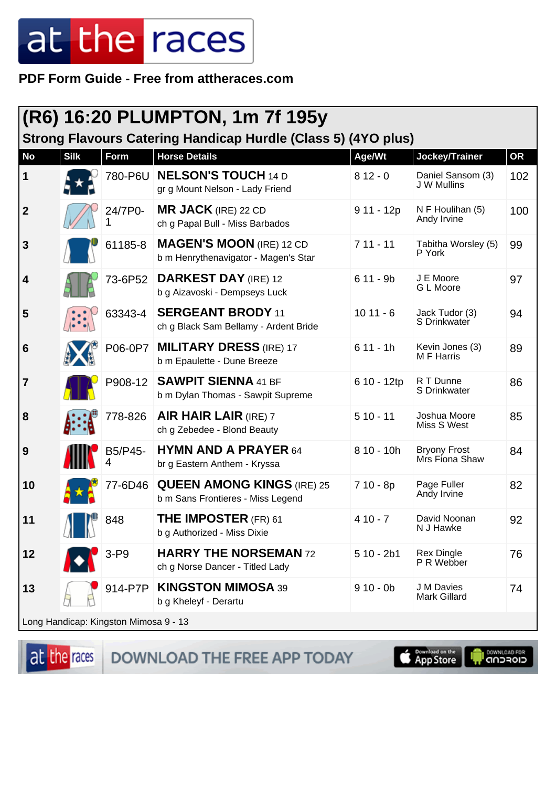PDF Form Guide - Free from attheraces.com

|              | (R6) 16:20 PLUMPTON, 1m 7f 195y<br>Strong Flavours Catering Handicap Hurdle (Class 5) (4YO plus) |                                         |                                                                         |             |                                       |     |  |  |
|--------------|--------------------------------------------------------------------------------------------------|-----------------------------------------|-------------------------------------------------------------------------|-------------|---------------------------------------|-----|--|--|
| <b>No</b>    | <b>Silk</b>                                                                                      | <b>Form</b>                             | <b>Horse Details</b>                                                    | Age/Wt      | Jockey/Trainer                        | OR  |  |  |
| 1            |                                                                                                  | 780-P6U                                 | <b>NELSON'S TOUCH 14 D</b><br>gr g Mount Nelson - Lady Friend           | $812 - 0$   | Daniel Sansom (3)<br>J W Mullins      | 102 |  |  |
| $\mathbf{2}$ |                                                                                                  | 24/7P0-                                 | <b>MR JACK</b> (IRE) 22 CD<br>ch g Papal Bull - Miss Barbados           | $911 - 12p$ | N F Houlihan (5)<br>Andy Irvine       | 100 |  |  |
| 3            |                                                                                                  | 61185-8                                 | <b>MAGEN'S MOON (IRE) 12 CD</b><br>b m Henrythenavigator - Magen's Star | $711 - 11$  | Tabitha Worsley (5)<br>P York         | 99  |  |  |
| 4            |                                                                                                  | 73-6P52                                 | <b>DARKEST DAY</b> (IRE) 12<br>b g Aizavoski - Dempseys Luck            | $611 - 9b$  | J E Moore<br>G L Moore                | 97  |  |  |
| 5            |                                                                                                  | 63343-4                                 | <b>SERGEANT BRODY 11</b><br>ch g Black Sam Bellamy - Ardent Bride       | $1011 - 6$  | Jack Tudor (3)<br>S Drinkwater        | 94  |  |  |
| 6            |                                                                                                  | P06-0P7                                 | <b>MILITARY DRESS (IRE) 17</b><br>b m Epaulette - Dune Breeze           | $611 - 1h$  | Kevin Jones (3)<br>M F Harris         | 89  |  |  |
| 7            |                                                                                                  |                                         | P908-12   SAWPIT SIENNA 41 BF<br>b m Dylan Thomas - Sawpit Supreme      | 6 10 - 12tp | R T Dunne<br>S Drinkwater             | 86  |  |  |
| 8            |                                                                                                  | 778-826                                 | <b>AIR HAIR LAIR (IRE) 7</b><br>ch g Zebedee - Blond Beauty             | $510 - 11$  | Joshua Moore<br>Miss S West           | 85  |  |  |
| 9            |                                                                                                  | B5/P45-                                 | <b>HYMN AND A PRAYER 64</b><br>br g Eastern Anthem - Kryssa             | $810 - 10h$ | <b>Bryony Frost</b><br>Mrs Fiona Shaw | 84  |  |  |
| 10           |                                                                                                  | 77-6D46                                 | <b>QUEEN AMONG KINGS (IRE) 25</b><br>b m Sans Frontieres - Miss Legend  | 7 10 - 8p   | Page Fuller<br>Andy Irvine            | 82  |  |  |
| 11           | MII                                                                                              | 848                                     | THE IMPOSTER (FR) 61<br>b g Authorized - Miss Dixie                     | $410 - 7$   | David Noonan<br>N J Hawke             | 92  |  |  |
| 12           |                                                                                                  | $3-P9$                                  | <b>HARRY THE NORSEMAN 72</b><br>ch g Norse Dancer - Titled Lady         | $510 - 2b1$ | <b>Rex Dingle</b><br>P R Webber       | 76  |  |  |
| 13           |                                                                                                  | 914-P7P                                 | <b>KINGSTON MIMOSA 39</b><br>b g Kheleyf - Derartu                      | $910 - 0b$  | J M Davies<br><b>Mark Gillard</b>     | 74  |  |  |
|              |                                                                                                  | l Long Handicap: Kingston Mimosa 9 - 13 |                                                                         |             |                                       |     |  |  |

at the races

DOWNLOAD THE FREE APP TODAY

**Completed on the I DOWNLOAD FOR**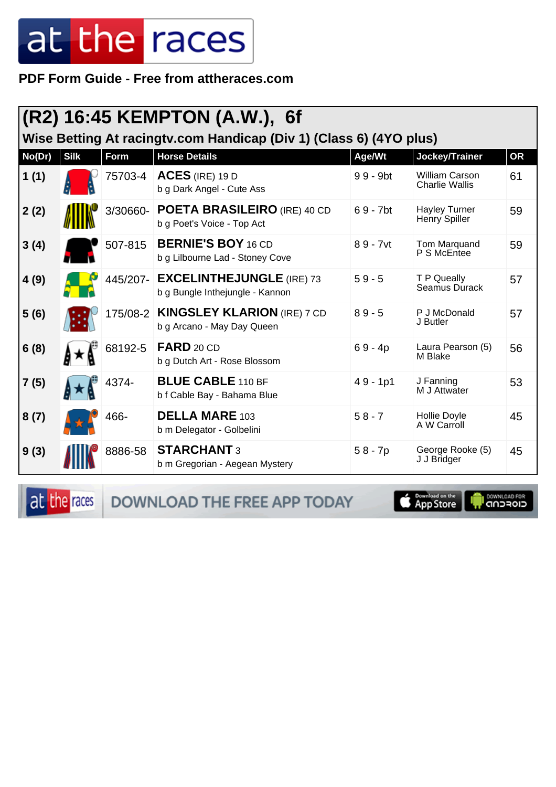**PDF Form Guide - Free from attheraces.com**

|        | (R2) 16:45 KEMPTON (A.W.), 6f<br>Wise Betting At racingty.com Handicap (Div 1) (Class 6) (4YO plus) |          |                                                                     |             |                                                |           |  |
|--------|-----------------------------------------------------------------------------------------------------|----------|---------------------------------------------------------------------|-------------|------------------------------------------------|-----------|--|
| No(Dr) | <b>Silk</b>                                                                                         | Form     | <b>Horse Details</b>                                                | Age/Wt      | Jockey/Trainer                                 | <b>OR</b> |  |
| 1(1)   |                                                                                                     | 75703-4  | $ACES$ (IRE) 19 D<br>b g Dark Angel - Cute Ass                      | $99 - 9$ bt | <b>William Carson</b><br><b>Charlie Wallis</b> | 61        |  |
| 2(2)   |                                                                                                     | 3/30660- | <b>POETA BRASILEIRO</b> (IRE) 40 CD<br>b g Poet's Voice - Top Act   | $69 - 7$ bt | <b>Hayley Turner</b><br>Henry Spiller          | 59        |  |
| 3(4)   |                                                                                                     | 507-815  | <b>BERNIE'S BOY 16 CD</b><br>b g Lilbourne Lad - Stoney Cove        | $89 - 7$ vt | Tom Marquand<br>P S McEntee                    | 59        |  |
| 4(9)   |                                                                                                     | 445/207- | <b>EXCELINTHEJUNGLE</b> (IRE) 73<br>b g Bungle Inthejungle - Kannon | $59 - 5$    | T P Queally<br>Seamus Durack                   | 57        |  |
| 5(6)   |                                                                                                     |          | 175/08-2 KINGSLEY KLARION (IRE) 7 CD<br>b g Arcano - May Day Queen  | $89 - 5$    | P J McDonald<br>J Butler                       | 57        |  |
| 6(8)   |                                                                                                     | 68192-5  | FARD 20 CD<br>b g Dutch Art - Rose Blossom                          | $69 - 4p$   | Laura Pearson (5)<br>M Blake                   | 56        |  |
| 7(5)   |                                                                                                     | 4374-    | <b>BLUE CABLE 110 BF</b><br>b f Cable Bay - Bahama Blue             | $49 - 1p1$  | J Fanning<br>M J Attwater                      | 53        |  |
| 8(7)   |                                                                                                     | 466-     | <b>DELLA MARE 103</b><br>b m Delegator - Golbelini                  | $58 - 7$    | Hollie Doyle<br>A W Carroll                    | 45        |  |
| 9(3)   |                                                                                                     | 8886-58  | <b>STARCHANT 3</b><br>b m Gregorian - Aegean Mystery                | $58 - 7p$   | George Rooke (5)<br>J J Bridger                | 45        |  |

at the races DOWNLOAD THE FREE APP TODAY

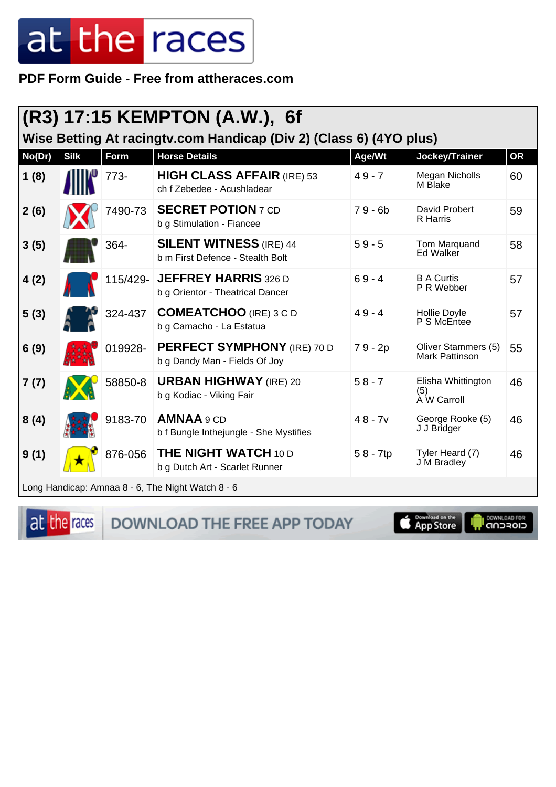PDF Form Guide - Free from attheraces.com

|        | (R3) 17:15 KEMPTON (A.W.), 6f<br>Wise Betting At racingty.com Handicap (Div 2) (Class 6) (4YO plus) |             |                                                                     |            |                                              |           |  |  |
|--------|-----------------------------------------------------------------------------------------------------|-------------|---------------------------------------------------------------------|------------|----------------------------------------------|-----------|--|--|
| No(Dr) | <b>Silk</b>                                                                                         | <b>Form</b> | <b>Horse Details</b>                                                | Age/Wt     | Jockey/Trainer                               | <b>OR</b> |  |  |
| 1(8)   |                                                                                                     | $773-$      | <b>HIGH CLASS AFFAIR (IRE) 53</b><br>ch f Zebedee - Acushladear     | $49 - 7$   | <b>Megan Nicholls</b><br>M Blake             | 60        |  |  |
| 2(6)   |                                                                                                     | 7490-73     | <b>SECRET POTION 7 CD</b><br>b g Stimulation - Fiancee              | $79 - 6b$  | David Probert<br><b>R</b> Harris             | 59        |  |  |
| 3(5)   |                                                                                                     | 364-        | <b>SILENT WITNESS (IRE) 44</b><br>b m First Defence - Stealth Bolt  | $59 - 5$   | Tom Marquand<br><b>Ed Walker</b>             | 58        |  |  |
| 4(2)   |                                                                                                     |             | 115/429- JEFFREY HARRIS 326 D<br>b g Orientor - Theatrical Dancer   | $69 - 4$   | <b>B A Curtis</b><br>P R Webber              | 57        |  |  |
| 5(3)   |                                                                                                     | 324-437     | <b>COMEATCHOO</b> (IRE) 3 C D<br>b g Camacho - La Estatua           | $49 - 4$   | Hollie Doyle<br>P S McEntee                  | 57        |  |  |
| 6(9)   |                                                                                                     | 019928-     | <b>PERFECT SYMPHONY</b> (IRE) 70 D<br>b g Dandy Man - Fields Of Joy | 79 - 2p    | Oliver Stammers (5)<br><b>Mark Pattinson</b> | 55        |  |  |
| 7(7)   |                                                                                                     | 58850-8     | <b>URBAN HIGHWAY</b> (IRE) 20<br>b g Kodiac - Viking Fair           | $58 - 7$   | Elisha Whittington<br>(5)<br>À W Carroll     | 46        |  |  |
| 8(4)   |                                                                                                     | 9183-70     | AMNAA 9 CD<br>b f Bungle Inthejungle - She Mystifies                | $48 - 7v$  | George Rooke (5)<br>J J Bridger              | 46        |  |  |
| 9(1)   |                                                                                                     | 876-056     | <b>THE NIGHT WATCH 10 D</b><br>b g Dutch Art - Scarlet Runner       | $58 - 7tp$ | Tyler Heard (7)<br><b>J</b> M Bradley        | 46        |  |  |
|        |                                                                                                     |             | Long Handicap: Amnaa 8 - 6, The Night Watch 8 - 6                   |            |                                              |           |  |  |

at the races

DOWNLOAD THE FREE APP TODAY

App Store

**DOWNLOAD FOR**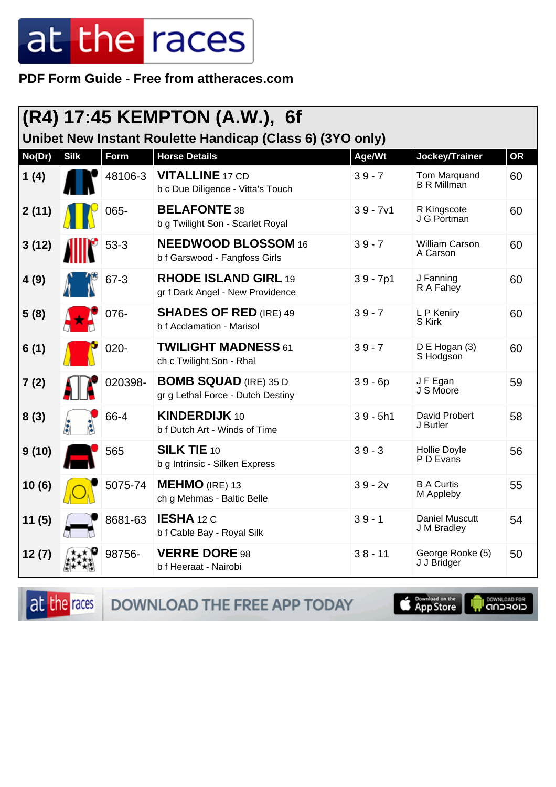PDF Form Guide - Free from attheraces.com

|        | (R4) 17:45 KEMPTON (A.W.), 6f<br>Unibet New Instant Roulette Handicap (Class 6) (3YO only) |          |                                                                   |            |                                    |           |  |  |
|--------|--------------------------------------------------------------------------------------------|----------|-------------------------------------------------------------------|------------|------------------------------------|-----------|--|--|
| No(Dr) | <b>Silk</b>                                                                                | Form     | <b>Horse Details</b>                                              | Age/Wt     | Jockey/Trainer                     | <b>OR</b> |  |  |
| 1(4)   |                                                                                            | 48106-3  | <b>VITALLINE 17 CD</b><br>b c Due Diligence - Vitta's Touch       | $39 - 7$   | Tom Marquand<br><b>B</b> R Millman | 60        |  |  |
| 2(11)  |                                                                                            | 065-     | <b>BELAFONTE 38</b><br>b g Twilight Son - Scarlet Royal           | $39 - 7v1$ | R Kingscote<br>J G Portman         | 60        |  |  |
| 3(12)  |                                                                                            | $53 - 3$ | <b>NEEDWOOD BLOSSOM 16</b><br>b f Garswood - Fangfoss Girls       | $39 - 7$   | <b>William Carson</b><br>A Carson  | 60        |  |  |
| 4(9)   |                                                                                            | $67 - 3$ | <b>RHODE ISLAND GIRL 19</b><br>gr f Dark Angel - New Providence   | $39 - 7p1$ | J Fanning<br>R A Fahey             | 60        |  |  |
| 5(8)   |                                                                                            | 076-     | <b>SHADES OF RED (IRE) 49</b><br>b f Acclamation - Marisol        | $39 - 7$   | L P Keniry<br>S Kirk               | 60        |  |  |
| 6(1)   |                                                                                            | $020 -$  | <b>TWILIGHT MADNESS 61</b><br>ch c Twilight Son - Rhal            | $39 - 7$   | D E Hogan (3)<br>S Hodgson         | 60        |  |  |
| 7(2)   |                                                                                            | 020398-  | <b>BOMB SQUAD</b> (IRE) 35 D<br>gr g Lethal Force - Dutch Destiny | $39 - 6p$  | JF Egan<br>J S Moore               | 59        |  |  |
| 8(3)   |                                                                                            | 66-4     | <b>KINDERDIJK 10</b><br>b f Dutch Art - Winds of Time             | $39 - 5h1$ | David Probert<br>J Butler          | 58        |  |  |
| 9(10)  |                                                                                            | 565      | <b>SILK TIE 10</b><br>b g Intrinsic - Silken Express              | $39 - 3$   | Hollie Doyle<br>P D Evans          | 56        |  |  |
| 10(6)  |                                                                                            | 5075-74  | <b>MEHMO</b> (IRE) 13<br>ch g Mehmas - Baltic Belle               | $39 - 2v$  | <b>B A Curtis</b><br>M Appleby     | 55        |  |  |
| 11(5)  |                                                                                            | 8681-63  | IESHA 12 C<br>b f Cable Bay - Royal Silk                          | $39 - 1$   | Daniel Muscutt<br>J M Bradley      | 54        |  |  |
| 12(7)  |                                                                                            | 98756-   | <b>VERRE DORE 98</b><br>b f Heeraat - Nairobi                     | $38 - 11$  | George Rooke (5)<br>J J Bridger    | 50        |  |  |

DOWNLOAD THE FREE APP TODAY at the races

App Store

**IN DOWNLOAD FOR**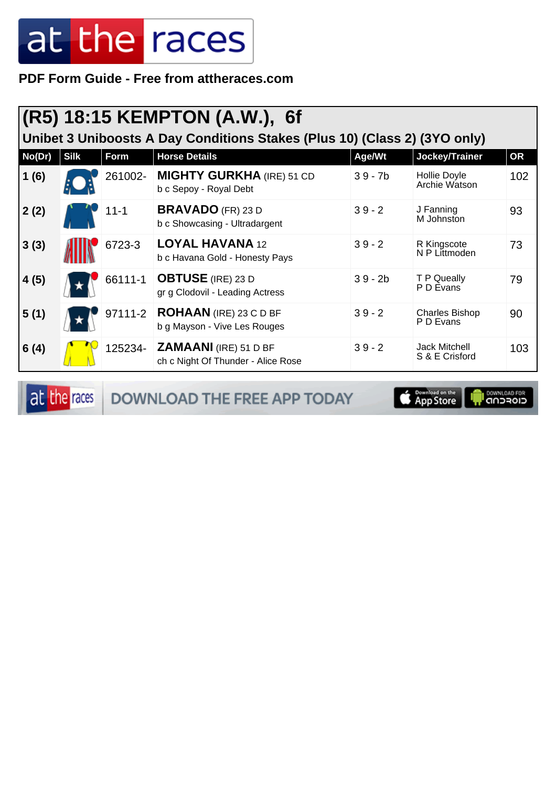**PDF Form Guide - Free from attheraces.com**

|        |             |          | (R5) 18:15 KEMPTON (A.W.), 6f                                             |           |                                        |           |
|--------|-------------|----------|---------------------------------------------------------------------------|-----------|----------------------------------------|-----------|
|        |             |          | Unibet 3 Uniboosts A Day Conditions Stakes (Plus 10) (Class 2) (3YO only) |           |                                        |           |
| No(Dr) | <b>Silk</b> | Form     | <b>Horse Details</b>                                                      | Age/Wt    | Jockey/Trainer                         | <b>OR</b> |
| 1(6)   |             | 261002-  | <b>MIGHTY GURKHA (IRE) 51 CD</b><br>b c Sepoy - Royal Debt                | $39 - 7b$ | Hollie Doyle<br>Archie Watson          | 102       |
| 2(2)   |             | $11 - 1$ | <b>BRAVADO</b> (FR) 23 D<br>b c Showcasing - Ultradargent                 | $39 - 2$  | J Fanning<br>M Johnston                | 93        |
| 3(3)   |             | 6723-3   | <b>LOYAL HAVANA 12</b><br>b c Havana Gold - Honesty Pays                  | $39 - 2$  | R Kingscote<br>N P Littmoden           | 73        |
| 4(5)   |             | 66111-1  | <b>OBTUSE</b> (IRE) 23 D<br>gr g Clodovil - Leading Actress               | $39 - 2b$ | T P Queally<br>P D Evans               | 79        |
| 5(1)   |             | 97111-2  | <b>ROHAAN</b> (IRE) 23 C D BF<br>b g Mayson - Vive Les Rouges             | $39 - 2$  | <b>Charles Bishop</b><br>P D Evans     | 90        |
| 6(4)   |             | 125234-  | <b>ZAMAANI</b> (IRE) 51 D BF<br>ch c Night Of Thunder - Alice Rose        | $39 - 2$  | <b>Jack Mitchell</b><br>S & E Crisford | 103       |

at the races DOWNLOAD THE FREE APP TODAY

App Store **ELOFCUD**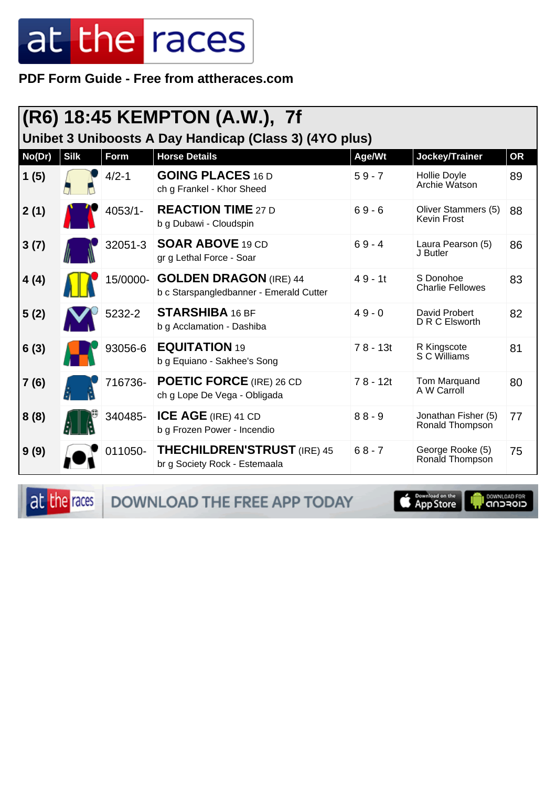**PDF Form Guide - Free from attheraces.com**

| (R6) 18:45 KEMPTON (A.W.), 7f<br>Unibet 3 Uniboosts A Day Handicap (Class 3) (4YO plus) |             |             |                                                                          |            |                                           |           |  |
|-----------------------------------------------------------------------------------------|-------------|-------------|--------------------------------------------------------------------------|------------|-------------------------------------------|-----------|--|
| No(Dr)                                                                                  | <b>Silk</b> | <b>Form</b> | <b>Horse Details</b>                                                     | Age/Wt     | Jockey/Trainer                            | <b>OR</b> |  |
| 1(5)                                                                                    |             | $4/2 - 1$   | <b>GOING PLACES 16 D</b><br>ch g Frankel - Khor Sheed                    | $59 - 7$   | Hollie Doyle<br>Archie Watson             | 89        |  |
| 2(1)                                                                                    |             | $4053/1 -$  | <b>REACTION TIME 27 D</b><br>b g Dubawi - Cloudspin                      | $69 - 6$   | Oliver Stammers (5)<br><b>Kevin Frost</b> | 88        |  |
| 3(7)                                                                                    |             | 32051-3     | <b>SOAR ABOVE 19 CD</b><br>gr g Lethal Force - Soar                      | $69 - 4$   | Laura Pearson (5)<br>J Butler             | 86        |  |
| 4(4)                                                                                    |             | 15/0000-    | <b>GOLDEN DRAGON (IRE) 44</b><br>b c Starspangledbanner - Emerald Cutter | $49 - 11$  | S Donohoe<br><b>Charlie Fellowes</b>      | 83        |  |
| 5(2)                                                                                    |             | 5232-2      | <b>STARSHIBA 16 BF</b><br>b g Acclamation - Dashiba                      | $49 - 0$   | David Probert<br>D R C Elsworth           | 82        |  |
| 6(3)                                                                                    |             | 93056-6     | <b>EQUITATION 19</b><br>b g Equiano - Sakhee's Song                      | $78 - 13t$ | R Kingscote<br>S C Williams               | 81        |  |
| 7(6)                                                                                    |             | 716736-     | <b>POETIC FORCE</b> (IRE) 26 CD<br>ch g Lope De Vega - Obligada          | $78 - 12t$ | Tom Marquand<br>A W Carroll               | 80        |  |
| 8(8)                                                                                    |             | 340485-     | ICE AGE (IRE) 41 CD<br>b g Frozen Power - Incendio                       | $88 - 9$   | Jonathan Fisher (5)<br>Ronald Thompson    | 77        |  |
| 9(9)                                                                                    |             | 011050-     | <b>THECHILDREN'STRUST (IRE) 45</b><br>br g Society Rock - Estemaala      | $68 - 7$   | George Rooke (5)<br>Ronald Thompson       | 75        |  |

at the races DOWNLOAD THE FREE APP TODAY

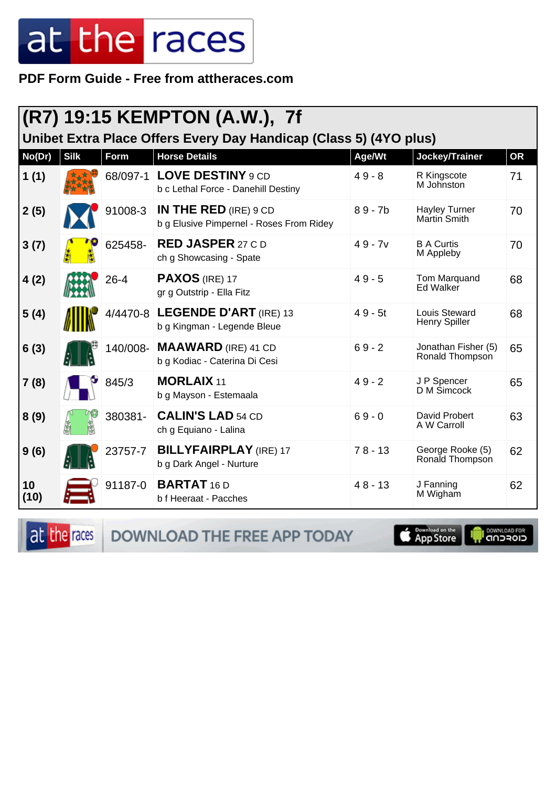PDF Form Guide - Free from attheraces.com

| (R7) 19:15 KEMPTON (A.W.), 7f<br>Unibet Extra Place Offers Every Day Handicap (Class 5) (4YO plus) |             |          |                                                                     |           |                                        |           |  |
|----------------------------------------------------------------------------------------------------|-------------|----------|---------------------------------------------------------------------|-----------|----------------------------------------|-----------|--|
| No(Dr)                                                                                             | <b>Silk</b> | Form     | <b>Horse Details</b>                                                | Age/Wt    | <b>Jockey/Trainer</b>                  | <b>OR</b> |  |
| 1(1)                                                                                               |             | 68/097-1 | <b>LOVE DESTINY 9 CD</b><br>b c Lethal Force - Danehill Destiny     | $49 - 8$  | R Kingscote<br>M Johnston              | 71        |  |
| 2(5)                                                                                               |             | 91008-3  | IN THE RED (IRE) $9 CD$<br>b g Elusive Pimpernel - Roses From Ridey | $89 - 7b$ | <b>Hayley Turner</b><br>Martin Smith   | 70        |  |
| 3(7)                                                                                               |             | 625458-  | <b>RED JASPER 27 C D</b><br>ch g Showcasing - Spate                 | $49 - 7v$ | <b>B A Curtis</b><br>M Appleby         | 70        |  |
| 4(2)                                                                                               |             | $26 - 4$ | <b>PAXOS</b> (IRE) 17<br>gr g Outstrip - Ella Fitz                  | $49 - 5$  | Tom Marquand<br>Ed Walker              | 68        |  |
| 5(4)                                                                                               |             | 4/4470-8 | <b>LEGENDE D'ART</b> (IRE) 13<br>b g Kingman - Legende Bleue        | $49 - 5t$ | Louis Steward<br><b>Henry Spiller</b>  | 68        |  |
| 6(3)                                                                                               |             | 140/008- | <b>MAAWARD</b> (IRE) 41 CD<br>b g Kodiac - Caterina Di Cesi         | $69 - 2$  | Jonathan Fisher (5)<br>Ronald Thompson | 65        |  |
| 7(8)                                                                                               |             | 845/3    | <b>MORLAIX 11</b><br>b g Mayson - Estemaala                         | $49 - 2$  | J P Spencer<br>D M Simcock             | 65        |  |
| 8(9)                                                                                               |             | 380381-  | <b>CALIN'S LAD 54 CD</b><br>ch g Equiano - Lalina                   | $69 - 0$  | David Probert<br>A W Carroll           | 63        |  |
| 9(6)                                                                                               |             | 23757-7  | <b>BILLYFAIRPLAY</b> (IRE) 17<br>b g Dark Angel - Nurture           | $78 - 13$ | George Rooke (5)<br>Ronald Thompson    | 62        |  |
| 10<br>(10)                                                                                         |             | 91187-0  | <b>BARTAT 16 D</b><br>b f Heeraat - Pacches                         | $48 - 13$ | J Fanning<br>M Wigham                  | 62        |  |

at the races DOWNLOAD THE FREE APP TODAY

**Completed on the** Ū

**OOWNLOAD FOR**